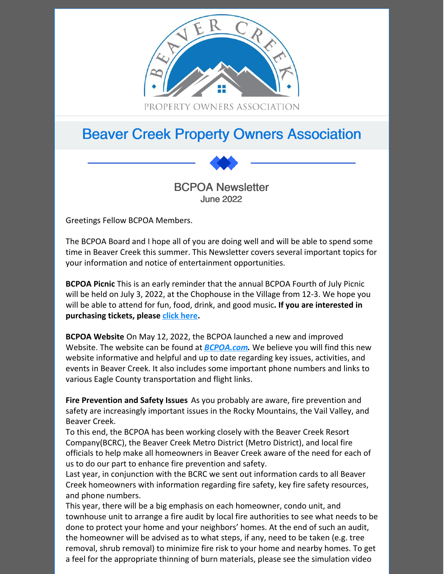

# Beaver Creek Property Owners Association



Greetings Fellow BCPOA Members.

The BCPOA Board and I hope all of you are doing well and will be able to spend some time in Beaver Creek this summer. This Newsletter covers several important topics for your information and notice of entertainment opportunities.

**BCPOA Picnic** This is an early reminder that the annual BCPOA Fourth of July Picnic will be held on July 3, 2022, at the Chophouse in the Village from 12-3. We hope you will be able to attend for fun, food, drink, and good music**. If you are interested in purchasing tickets, please click [here](https://bcpoa.com/events/bcpoa-summer-social-2022/).**

**BCPOA Website** On May 12, 2022, the BCPOA launched a new and improved Website. The website can be found at *[BCPOA.com](https://bcpoa.com).* We believe you will find this new website informative and helpful and up to date regarding key issues, activities, and events in Beaver Creek. It also includes some important phone numbers and links to various Eagle County transportation and flight links.

**Fire Prevention and Safety Issues** As you probably are aware, fire prevention and safety are increasingly important issues in the Rocky Mountains, the Vail Valley, and Beaver Creek.

To this end, the BCPOA has been working closely with the Beaver Creek Resort Company(BCRC), the Beaver Creek Metro District (Metro District), and local fire officials to help make all homeowners in Beaver Creek aware of the need for each of us to do our part to enhance fire prevention and safety.

Last year, in conjunction with the BCRC we sent out information cards to all Beaver Creek homeowners with information regarding fire safety, key fire safety resources, and phone numbers.

This year, there will be a big emphasis on each homeowner, condo unit, and townhouse unit to arrange a fire audit by local fire authorities to see what needs to be done to protect your home and your neighbors' homes. At the end of such an audit, the homeowner will be advised as to what steps, if any, need to be taken (e.g. tree removal, shrub removal) to minimize fire risk to your home and nearby homes. To get a feel for the appropriate thinning of burn materials, please see the simulation video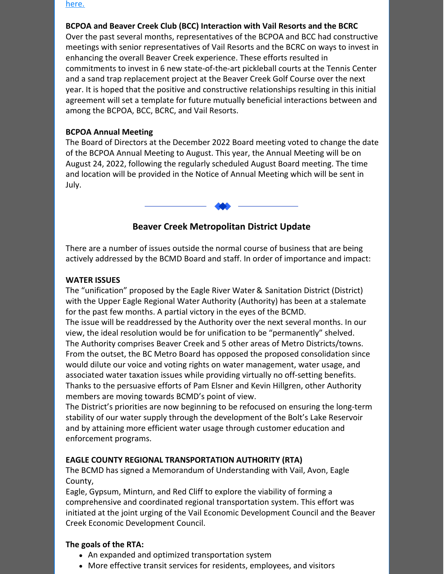[here.](https://drive.google.com/file/d/1T4EB1igEnW_J1MfwYCDYWd459h2w-zxY/view?usp=sharing)

## **BCPOA and Beaver Creek Club (BCC) Interaction with Vail Resorts and the BCRC**

Over the past several months, representatives of the BCPOA and BCC had constructive meetings with senior representatives of Vail Resorts and the BCRC on ways to invest in enhancing the overall Beaver Creek experience. These efforts resulted in commitments to invest in 6 new state-of-the-art pickleball courts at the Tennis Center and a sand trap replacement project at the Beaver Creek Golf Course over the next year. It is hoped that the positive and constructive relationships resulting in this initial agreement will set a template for future mutually beneficial interactions between and among the BCPOA, BCC, BCRC, and Vail Resorts.

## **BCPOA Annual Meeting**

The Board of Directors at the December 2022 Board meeting voted to change the date of the BCPOA Annual Meeting to August. This year, the Annual Meeting will be on August 24, 2022, following the regularly scheduled August Board meeting. The time and location will be provided in the Notice of Annual Meeting which will be sent in July.



There are a number of issues outside the normal course of business that are being actively addressed by the BCMD Board and staff. In order of importance and impact:

## **WATER ISSUES**

The "unification" proposed by the Eagle River Water & Sanitation District (District) with the Upper Eagle Regional Water Authority (Authority) has been at a stalemate for the past few months. A partial victory in the eyes of the BCMD.

The issue will be readdressed by the Authority over the next several months. In our view, the ideal resolution would be for unification to be "permanently" shelved. The Authority comprises Beaver Creek and 5 other areas of Metro Districts/towns. From the outset, the BC Metro Board has opposed the proposed consolidation since would dilute our voice and voting rights on water management, water usage, and associated water taxation issues while providing virtually no off-setting benefits. Thanks to the persuasive efforts of Pam Elsner and Kevin Hillgren, other Authority members are moving towards BCMD's point of view.

The District's priorities are now beginning to be refocused on ensuring the long-term stability of our water supply through the development of the Bolt's Lake Reservoir and by attaining more efficient water usage through customer education and enforcement programs.

# **EAGLE COUNTY REGIONAL TRANSPORTATION AUTHORITY (RTA)**

The BCMD has signed a Memorandum of Understanding with Vail, Avon, Eagle County,

Eagle, Gypsum, Minturn, and Red Cliff to explore the viability of forming a comprehensive and coordinated regional transportation system. This effort was initiated at the joint urging of the Vail Economic Development Council and the Beaver Creek Economic Development Council.

# **The goals of the RTA:**

- An expanded and optimized transportation system
- More effective transit services for residents, employees, and visitors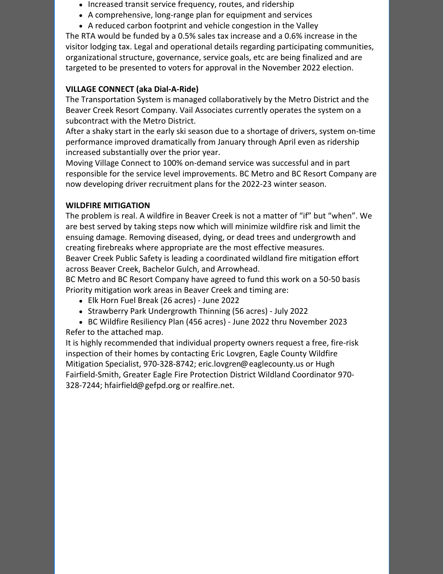- Increased transit service frequency, routes, and ridership
- A comprehensive, long-range plan for equipment and services
- A reduced carbon footprint and vehicle congestion in the Valley

The RTA would be funded by a 0.5% sales tax increase and a 0.6% increase in the visitor lodging tax. Legal and operational details regarding participating communities, organizational structure, governance, service goals, etc are being finalized and are targeted to be presented to voters for approval in the November 2022 election.

# **VILLAGE CONNECT (aka Dial-A-Ride)**

The Transportation System is managed collaboratively by the Metro District and the Beaver Creek Resort Company. Vail Associates currently operates the system on a subcontract with the Metro District.

After a shaky start in the early ski season due to a shortage of drivers, system on-time performance improved dramatically from January through April even as ridership increased substantially over the prior year.

Moving Village Connect to 100% on-demand service was successful and in part responsible for the service level improvements. BC Metro and BC Resort Company are now developing driver recruitment plans for the 2022-23 winter season.

# **WILDFIRE MITIGATION**

The problem is real. A wildfire in Beaver Creek is not a matter of "if" but "when". We are best served by taking steps now which will minimize wildfire risk and limit the ensuing damage. Removing diseased, dying, or dead trees and undergrowth and creating firebreaks where appropriate are the most effective measures.

Beaver Creek Public Safety is leading a coordinated wildland fire mitigation effort across Beaver Creek, Bachelor Gulch, and Arrowhead.

BC Metro and BC Resort Company have agreed to fund this work on a 50-50 basis Priority mitigation work areas in Beaver Creek and timing are:

- Elk Horn Fuel Break (26 acres) June 2022
- Strawberry Park Undergrowth Thinning (56 acres) July 2022
- BC Wildfire Resiliency Plan (456 acres) June 2022 thru November 2023

Refer to the attached map.

It is highly recommended that individual property owners request a free, fire-risk inspection of their homes by contacting Eric Lovgren, Eagle County Wildfire Mitigation Specialist, 970-328-8742; eric.lovgren@eaglecounty.us or Hugh Fairfield-Smith, Greater Eagle Fire Protection District Wildland Coordinator 970- 328-7244; hfairfield@gefpd.org or realfire.net.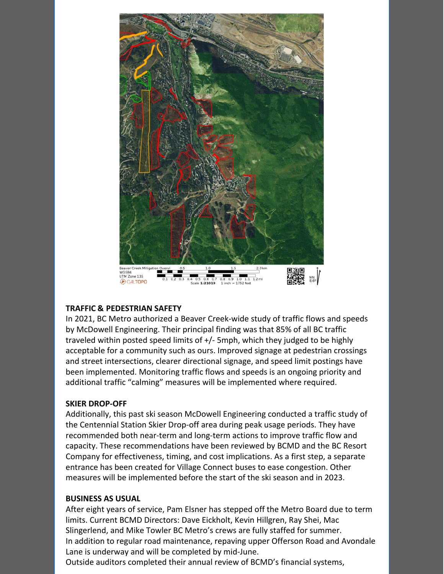

#### **TRAFFIC & PEDESTRIAN SAFETY**

In 2021, BC Metro authorized a Beaver Creek-wide study of traffic flows and speeds by McDowell Engineering. Their principal finding was that 85% of all BC traffic traveled within posted speed limits of +/- 5mph, which they judged to be highly acceptable for a community such as ours. Improved signage at pedestrian crossings and street intersections, clearer directional signage, and speed limit postings have been implemented. Monitoring traffic flows and speeds is an ongoing priority and additional traffic "calming" measures will be implemented where required.

#### **SKIER DROP-OFF**

Additionally, this past ski season McDowell Engineering conducted a traffic study of the Centennial Station Skier Drop-off area during peak usage periods. They have recommended both near-term and long-term actions to improve traffic flow and capacity. These recommendations have been reviewed by BCMD and the BC Resort Company for effectiveness, timing, and cost implications. As a first step, a separate entrance has been created for Village Connect buses to ease congestion. Other measures will be implemented before the start of the ski season and in 2023.

#### **BUSINESS AS USUAL**

After eight years of service, Pam Elsner has stepped off the Metro Board due to term limits. Current BCMD Directors: Dave Eickholt, Kevin Hillgren, Ray Shei, Mac Slingerlend, and Mike Towler BC Metro's crews are fully staffed for summer. In addition to regular road maintenance, repaving upper Offerson Road and Avondale Lane is underway and will be completed by mid-June.

Outside auditors completed their annual review of BCMD's financial systems,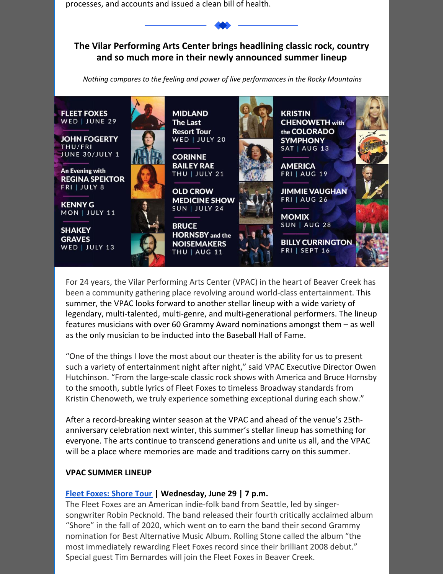processes, and accounts and issued a clean bill of health.

**The Vilar Performing Arts Center brings headlining classic rock, country and so much more in their newly announced summer lineup**

*Nothing compares to the feeling and power of live performances in the Rocky Mountains*



For 24 years, the Vilar Performing Arts Center (VPAC) in the heart of Beaver Creek has been a community gathering place revolving around world-class entertainment. This summer, the VPAC looks forward to another stellar lineup with a wide variety of legendary, multi-talented, multi-genre, and multi-generational performers. The lineup features musicians with over 60 Grammy Award nominations amongst them – as well as the only musician to be inducted into the Baseball Hall of Fame.

"One of the things I love the most about our theater is the ability for us to present such a variety of entertainment night after night," said VPAC Executive Director Owen Hutchinson. "From the large-scale classic rock shows with America and Bruce Hornsby to the smooth, subtle lyrics of Fleet Foxes to timeless Broadway standards from Kristin Chenoweth, we truly experience something exceptional during each show."

After a record-breaking winter season at the VPAC and ahead of the venue's 25thanniversary celebration next winter, this summer's stellar lineup has something for everyone. The arts continue to transcend generations and unite us all, and the VPAC will be a place where memories are made and traditions carry on this summer.

#### **VPAC SUMMER LINEUP**

#### **Fleet [Foxes:](https://vilarpac.org/event/fleet-foxes/) Shore Tour | Wednesday, June 29 | 7 p.m.**

The Fleet Foxes are an American indie-folk band from Seattle, led by singersongwriter Robin Pecknold. The band released their fourth critically acclaimed album "Shore" in the fall of 2020, which went on to earn the band their second Grammy nomination for Best Alternative Music Album. Rolling Stone called the album "the most immediately rewarding Fleet Foxes record since their brilliant 2008 debut." Special guest Tim Bernardes will join the Fleet Foxes in Beaver Creek.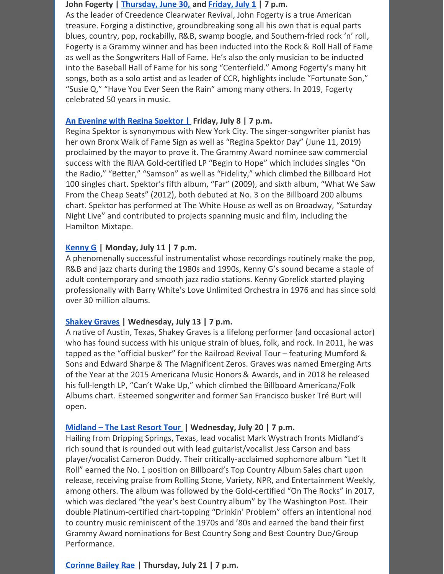#### **John Fogerty | [Thursday,](https://vilarpac.org/event/john-fogerty-june-30/) June 30, and [Friday,](https://vilarpac.org/event/john-fogerty-july-1/) July 1 | 7 p.m.**

As the leader of Creedence Clearwater Revival, John Fogerty is a true American treasure. Forging a distinctive, groundbreaking song all his own that is equal parts blues, country, pop, rockabilly, R&B, swamp boogie, and Southern-fried rock 'n' roll, Fogerty is a Grammy winner and has been inducted into the Rock & Roll Hall of Fame as well as the Songwriters Hall of Fame. He's also the only musician to be inducted into the Baseball Hall of Fame for his song "Centerfield." Among Fogerty's many hit songs, both as a solo artist and as leader of CCR, highlights include "Fortunate Son," "Susie Q," "Have You Ever Seen the Rain" among many others. In 2019, Fogerty celebrated 50 years in music.

#### **An [Evening](https://vilarpac.org/event/regina-spektor/) with Regina Spektor | Friday, July 8 | 7 p.m.**

Regina Spektor is synonymous with New York City. The singer-songwriter pianist has her own Bronx Walk of Fame Sign as well as "Regina Spektor Day" (June 11, 2019) proclaimed by the mayor to prove it. The Grammy Award nominee saw commercial success with the RIAA Gold-certified LP "Begin to Hope" which includes singles "On the Radio," "Better," "Samson" as well as "Fidelity," which climbed the Billboard Hot 100 singles chart. Spektor's fifth album, "Far" (2009), and sixth album, "What We Saw From the Cheap Seats" (2012), both debuted at No. 3 on the Billboard 200 albums chart. Spektor has performed at The White House as well as on Broadway, "Saturday Night Live" and contributed to projects spanning music and film, including the Hamilton Mixtape.

#### **[Kenny](https://vilarpac.org/event/kenny-g/) G | Monday, July 11 | 7 p.m.**

A phenomenally successful instrumentalist whose recordings routinely make the pop, R&B and jazz charts during the 1980s and 1990s, Kenny G's sound became a staple of adult contemporary and smooth jazz radio stations. Kenny Gorelick started playing professionally with Barry White's Love Unlimited Orchestra in 1976 and has since sold over 30 million albums.

#### **[Shakey](https://vilarpac.org/event/shakey-graves/) Graves | Wednesday, July 13 | 7 p.m.**

A native of Austin, Texas, Shakey Graves is a lifelong performer (and occasional actor) who has found success with his unique strain of blues, folk, and rock. In 2011, he was tapped as the "official busker" for the Railroad Revival Tour – featuring Mumford & Sons and Edward Sharpe & The Magnificent Zeros. Graves was named Emerging Arts of the Year at the 2015 Americana Music Honors & Awards, and in 2018 he released his full-length LP, "Can't Wake Up," which climbed the Billboard Americana/Folk Albums chart. Esteemed songwriter and former San Francisco busker Tré Burt will open.

#### **[Midland](https://vilarpac.org/event/midland/) – The Last Resort Tour | Wednesday, July 20 | 7 p.m.**

Hailing from Dripping Springs, Texas, lead vocalist Mark Wystrach fronts Midland's rich sound that is rounded out with lead guitarist/vocalist Jess Carson and bass player/vocalist Cameron Duddy. Their critically-acclaimed sophomore album "Let It Roll" earned the No. 1 position on Billboard's Top Country Album Sales chart upon release, receiving praise from Rolling Stone, Variety, NPR, and Entertainment Weekly, among others. The album was followed by the Gold-certified "On The Rocks" in 2017, which was declared "the year's best Country album" by The Washington Post. Their double Platinum-certified chart-topping "Drinkin' Problem" offers an intentional nod to country music reminiscent of the 1970s and '80s and earned the band their first Grammy Award nominations for Best Country Song and Best Country Duo/Group Performance.

#### **[Corinne](https://vilarpac.org/event/corinne-bailey-rae/) Bailey Rae | Thursday, July 21 | 7 p.m.**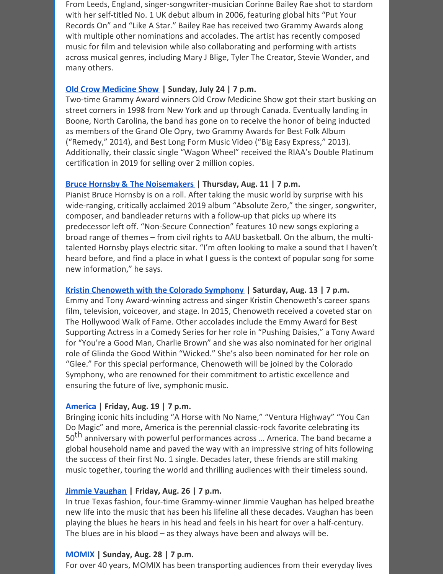From Leeds, England, singer-songwriter-musician Corinne Bailey Rae shot to stardom with her self-titled No. 1 UK debut album in 2006, featuring global hits "Put Your Records On" and "Like A Star." Bailey Rae has received two Grammy Awards along with multiple other nominations and accolades. The artist has recently composed music for film and television while also collaborating and performing with artists across musical genres, including Mary J Blige, Tyler The Creator, Stevie Wonder, and many others.

## **Old Crow [Medicine](https://vilarpac.org/event/old-crow-medicine-show/) Show | Sunday, July 24 | 7 p.m.**

Two-time Grammy Award winners Old Crow Medicine Show got their start busking on street corners in 1998 from New York and up through Canada. Eventually landing in Boone, North Carolina, the band has gone on to receive the honor of being inducted as members of the Grand Ole Opry, two Grammy Awards for Best Folk Album ("Remedy," 2014), and Best Long Form Music Video ("Big Easy Express," 2013). Additionally, their classic single "Wagon Wheel" received the RIAA's Double Platinum certification in 2019 for selling over 2 million copies.

## **Bruce Hornsby & The [Noisemakers](https://vilarpac.org/event/bruce-hornsby-and-the-noisemakers/) | Thursday, Aug. 11 | 7 p.m.**

Pianist Bruce Hornsby is on a roll. After taking the music world by surprise with his wide-ranging, critically acclaimed 2019 album "Absolute Zero," the singer, songwriter, composer, and bandleader returns with a follow-up that picks up where its predecessor left off. "Non-Secure Connection" features 10 new songs exploring a broad range of themes – from civil rights to AAU basketball. On the album, the multitalented Hornsby plays electric sitar. "I'm often looking to make a sound that I haven't heard before, and find a place in what I guess is the context of popular song for some new information," he says.

# **Kristin [Chenoweth](https://vilarpac.org/event/kristin-chenoweth-with-the-colorado-symphony/) with the Colorado Symphony | Saturday, Aug. 13 | 7 p.m.**

Emmy and Tony Award-winning actress and singer Kristin Chenoweth's career spans film, television, voiceover, and stage. In 2015, Chenoweth received a coveted star on The Hollywood Walk of Fame. Other accolades include the Emmy Award for Best Supporting Actress in a Comedy Series for her role in "Pushing Daisies," a Tony Award for "You're a Good Man, Charlie Brown" and she was also nominated for her original role of Glinda the Good Within "Wicked." She's also been nominated for her role on "Glee." For this special performance, Chenoweth will be joined by the Colorado Symphony, who are renowned for their commitment to artistic excellence and ensuring the future of live, symphonic music.

# **[America](https://vilarpac.org/event/america/) | Friday, Aug. 19 | 7 p.m.**

Bringing iconic hits including "A Horse with No Name," "Ventura Highway" "You Can Do Magic" and more, America is the perennial classic-rock favorite celebrating its 50<sup>th</sup> anniversary with powerful performances across ... America. The band became a global household name and paved the way with an impressive string of hits following the success of their first No. 1 single. Decades later, these friends are still making music together, touring the world and thrilling audiences with their timeless sound.

# **Jimmie [Vaughan](https://vilarpac.org/event/jimmie-vaughan/) | Friday, Aug. 26 | 7 p.m.**

In true Texas fashion, four-time Grammy-winner Jimmie Vaughan has helped breathe new life into the music that has been his lifeline all these decades. Vaughan has been playing the blues he hears in his head and feels in his heart for over a half-century. The blues are in his blood – as they always have been and always will be.

# **[MOMIX](https://vilarpac.org/event/momix/) | Sunday, Aug. 28 | 7 p.m.**

For over 40 years, MOMIX has been transporting audiences from their everyday lives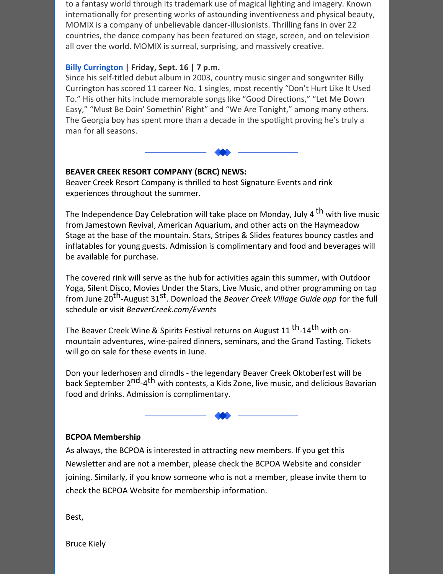to a fantasy world through its trademark use of magical lighting and imagery. Known internationally for presenting works of astounding inventiveness and physical beauty, MOMIX is a company of unbelievable dancer-illusionists. Thrilling fans in over 22 countries, the dance company has been featured on stage, screen, and on television all over the world. MOMIX is surreal, surprising, and massively creative.

# **Billy [Currington](https://vilarpac.org/event/billy-currington/) | Friday, Sept. 16 | 7 p.m.**

Since his self-titled debut album in 2003, country music singer and songwriter Billy Currington has scored 11 career No. 1 singles, most recently "Don't Hurt Like It Used To." His other hits include memorable songs like "Good Directions," "Let Me Down Easy," "Must Be Doin' Somethin' Right" and "We Are Tonight," among many others. The Georgia boy has spent more than a decade in the spotlight proving he's truly a man for all seasons.

# **BEAVER CREEK RESORT COMPANY (BCRC) NEWS:**

Beaver Creek Resort Company is thrilled to host Signature Events and rink experiences throughout the summer.

The Independence Day Celebration will take place on Monday, July 4 <sup>th</sup> with live music from Jamestown Revival, American Aquarium, and other acts on the Haymeadow Stage at the base of the mountain. Stars, Stripes & Slides features bouncy castles and inflatables for young guests. Admission is complimentary and food and beverages will be available for purchase.

The covered rink will serve as the hub for activities again this summer, with Outdoor Yoga, Silent Disco, Movies Under the Stars, Live Music, and other programming on tap from June 20 th-August 31 st . Download the *Beaver Creek Village Guide app* for the full schedule or visit *BeaverCreek.com/Events*

The Beaver Creek Wine & Spirits Festival returns on August 11 <sup>th</sup>-14<sup>th</sup> with onmountain adventures, wine-paired dinners, seminars, and the Grand Tasting. Tickets will go on sale for these events in June.

Don your lederhosen and dirndls - the legendary Beaver Creek Oktoberfest will be back September 2<sup>nd</sup>-4<sup>th</sup> with contests, a Kids Zone, live music, and delicious Bavarian food and drinks. Admission is complimentary.

# **BCPOA Membership**

As always, the BCPOA is interested in attracting new members. If you get this Newsletter and are not a member, please check the BCPOA Website and consider joining. Similarly, if you know someone who is not a member, please invite them to check the BCPOA Website for membership information.

Best,

Bruce Kiely